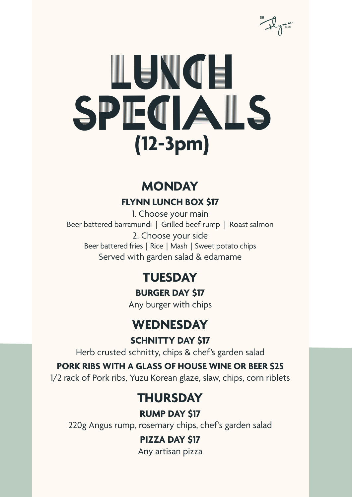

### **MONDAY FLYNN LUNCH BOX \$17**

1. Choose your main Beer battered barramundi | Grilled beef rump | Roast salmon 2. Choose your side Beer battered fries | Rice | Mash | Sweet potato chips Served with garden salad & edamame

### **TUESDAY**

**BURGER DAY \$17**

Any burger with chips

### **WEDNESDAY**

**SCHNITTY DAY \$17**

Herb crusted schnitty, chips & chef's garden salad

### **PORK RIBS WITH A GLASS OF HOUSE WINE OR BEER \$25**

1/2 rack of Pork ribs, Yuzu Korean glaze, slaw, chips, corn riblets

### **THURSDAY**

**RUMP DAY \$17**

220g Angus rump, rosemary chips, chef's garden salad

### **PIZZA DAY \$17**

Any artisan pizza